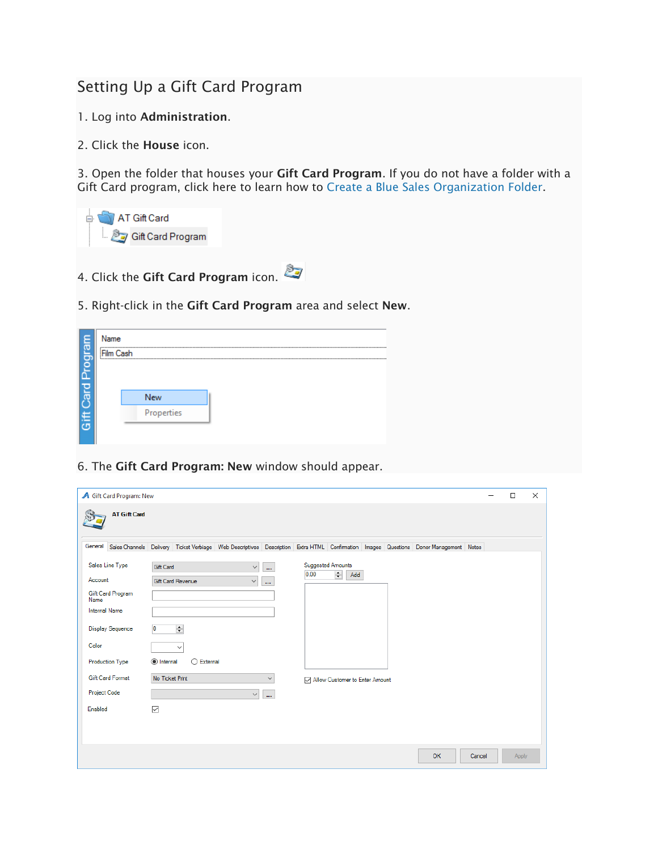## Setting Up a Gift Card Program

- 1. Log into Administration.
- 2. Click the House icon.

3. Open the folder that houses your Gift Card Program. If you do not have a folder with a Gift Card program, click here to learn how to [Create a Blue Sales Organization](https://support.agiletix.com/hc/en-us/articles/205642264-Creating-a-Sales-Organization-Folder-in-Administration) Folder.



- 4. Click the Gift Card Program icon.
- 5. Right-click in the Gift Card Program area and select New.

| Progra              |  | Name<br>Film Cash |            |  |  |  |  |  |  |
|---------------------|--|-------------------|------------|--|--|--|--|--|--|
| <b>pie</b>          |  |                   | New        |  |  |  |  |  |  |
| Ĕ<br>$\bar{\sigma}$ |  |                   | Properties |  |  |  |  |  |  |

6. The Gift Card Program: New window should appear.

| <b>A</b> Gift Card Program: New                                                                                                               |                                                                                                                                                                                                                                                           |  |       |  |  |  |  |
|-----------------------------------------------------------------------------------------------------------------------------------------------|-----------------------------------------------------------------------------------------------------------------------------------------------------------------------------------------------------------------------------------------------------------|--|-------|--|--|--|--|
| <b>AT Gift Card</b>                                                                                                                           |                                                                                                                                                                                                                                                           |  |       |  |  |  |  |
|                                                                                                                                               | General Sales Channels Delivery Ticket Verbiage Web Descriptives Description Extra HTML Confirmation Images Questions Donor Management Notes                                                                                                              |  |       |  |  |  |  |
| Sales Line Type<br>Account<br>Gift Card Program<br>Name<br><b>Internal Name</b><br><b>Display Sequence</b><br>Color<br><b>Production Type</b> | <b>Suggested Amounts</b><br>Gift Card<br>u.<br>$\checkmark$<br>0.00<br>$\left  \div \right $<br>Add<br><b>Gift Card Revenue</b><br>$\checkmark$<br>$\cdots$<br>$\left  \div \right $<br>$\overline{0}$<br>$\checkmark$<br>tnternal<br>$\bigcirc$ External |  |       |  |  |  |  |
| <b>Gift Card Format</b><br>Project Code<br>Enabled                                                                                            | No Ticket Print<br>$\checkmark$<br>M Allow Customer to Enter Amount<br>$\checkmark$<br>m.<br>$\checkmark$                                                                                                                                                 |  |       |  |  |  |  |
|                                                                                                                                               | OK<br>Cancel                                                                                                                                                                                                                                              |  | Apply |  |  |  |  |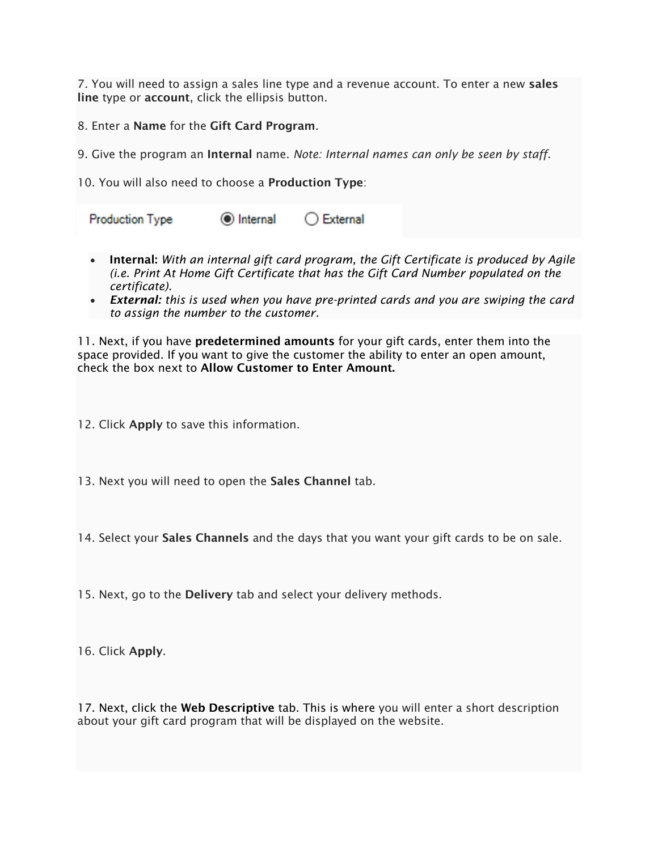7. You will need to assign a sales line type and a revenue account. To enter a new sales line type or account, click the ellipsis button.

8. Enter a Name for the Gift Card Program.

9. Give the program an Internal name. *Note: Internal names can only be seen by staff*.

10. You will also need to choose a Production Type:

lnternal  $\bigcirc$  External **Production Type** 

- Internal: *With an internal gift card program, the Gift Certificate is produced by Agile (i.e. Print At Home Gift Certificate that has the Gift Card Number populated on the certificate).*
- *External: this is used when you have pre-printed cards and you are swiping the card to assign the number to the customer.*

11. Next, if you have **predetermined amounts** for your gift cards, enter them into the space provided. If you want to give the customer the ability to enter an open amount, check the box next to Allow Customer to Enter Amount.

12. Click Apply to save this information.

13. Next you will need to open the Sales Channel tab.

14. Select your Sales Channels and the days that you want your gift cards to be on sale.

15. Next, go to the **Delivery** tab and select your delivery methods.

16. Click Apply.

17. Next, click the Web Descriptive tab. This is where you will enter a short description about your gift card program that will be displayed on the website.